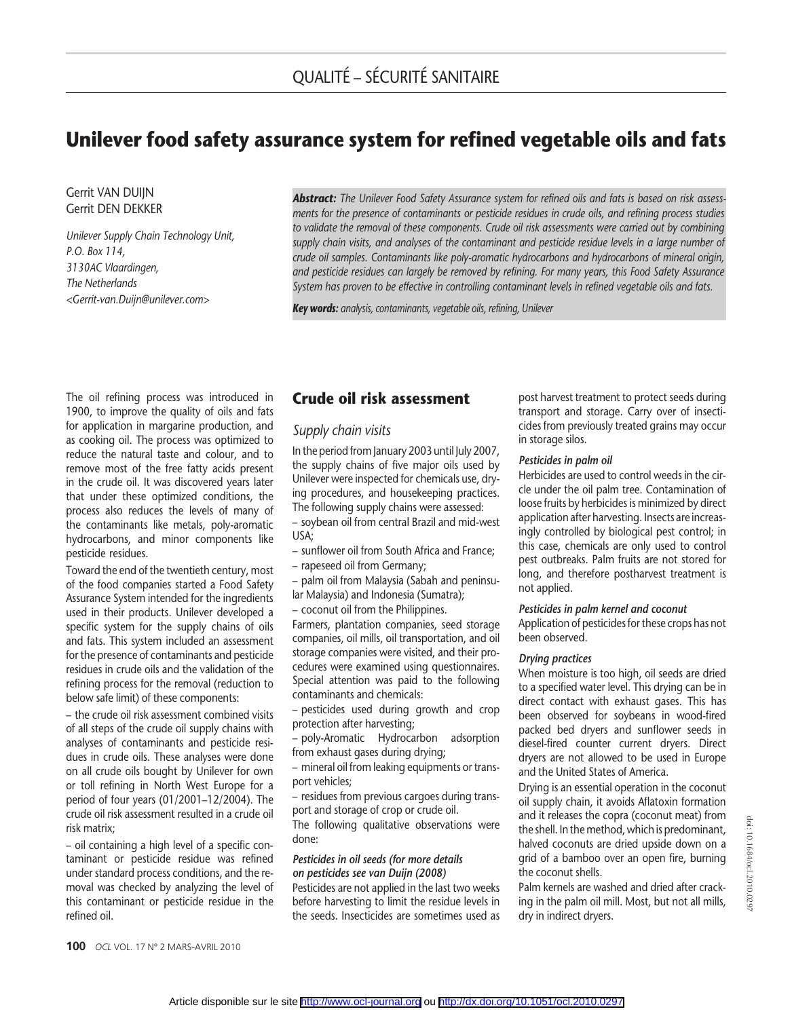# Unilever food safety assurance system for refined vegetable oils and fats

Gerrit VAN DUIJN Gerrit DEN DEKKER

Unilever Supply Chain Technology Unit, P.O. Box 114, 3130AC Vlaardingen, The Netherlands <Gerrit-van.Duijn@unilever.com>

Abstract: The Unilever Food Safety Assurance system for refined oils and fats is based on risk assessments for the presence of contaminants or pesticide residues in crude oils, and refining process studies to validate the removal of these components. Crude oil risk assessments were carried out by combining supply chain visits, and analyses of the contaminant and pesticide residue levels in a large number of crude oil samples. Contaminants like poly-aromatic hydrocarbons and hydrocarbons of mineral origin, and pesticide residues can largely be removed by refining. For many years, this Food Safety Assurance System has proven to be effective in controlling contaminant levels in refined vegetable oils and fats.

Key words: analysis, contaminants, vegetable oils, refining, Unilever

The oil refining process was introduced in 1900, to improve the quality of oils and fats for application in margarine production, and as cooking oil. The process was optimized to reduce the natural taste and colour, and to remove most of the free fatty acids present in the crude oil. It was discovered years later that under these optimized conditions, the process also reduces the levels of many of the contaminants like metals, poly-aromatic hydrocarbons, and minor components like pesticide residues.

Toward the end of the twentieth century, most of the food companies started a Food Safety Assurance System intended for the ingredients used in their products. Unilever developed a specific system for the supply chains of oils and fats. This system included an assessment for the presence of contaminants and pesticide residues in crude oils and the validation of the refining process for the removal (reduction to below safe limit) of these components:

– the crude oil risk assessment combined visits of all steps of the crude oil supply chains with analyses of contaminants and pesticide residues in crude oils. These analyses were done on all crude oils bought by Unilever for own or toll refining in North West Europe for a period of four years (01/2001–12/2004). The crude oil risk assessment resulted in a crude oil risk matrix;

– oil containing a high level of a specific contaminant or pesticide residue was refined under standard process conditions, and the removal was checked by analyzing the level of this contaminant or pesticide residue in the refined oil.

## Crude oil risk assessment

### Supply chain visits

In the period from January 2003 until July 2007, the supply chains of five major oils used by Unilever were inspected for chemicals use, drying procedures, and housekeeping practices. The following supply chains were assessed:

– soybean oil from central Brazil and mid-west USA;

- sunflower oil from South Africa and France;
- rapeseed oil from Germany;
- palm oil from Malaysia (Sabah and peninsu-
- lar Malaysia) and Indonesia (Sumatra);
- coconut oil from the Philippines.

Farmers, plantation companies, seed storage companies, oil mills, oil transportation, and oil storage companies were visited, and their procedures were examined using questionnaires. Special attention was paid to the following contaminants and chemicals:

– pesticides used during growth and crop protection after harvesting;

– poly-Aromatic Hydrocarbon adsorption from exhaust gases during drying;

– mineral oil from leaking equipments or transport vehicles;

– residues from previous cargoes during transport and storage of crop or crude oil.

The following qualitative observations were done:

### Pesticides in oil seeds (for more details on pesticides see van Duijn (2008)

Pesticides are not applied in the last two weeks before harvesting to limit the residue levels in the seeds. Insecticides are sometimes used as post harvest treatment to protect seeds during transport and storage. Carry over of insecticides from previously treated grains may occur in storage silos.

### Pesticides in palm oil

Herbicides are used to control weeds in the circle under the oil palm tree. Contamination of loose fruits by herbicides is minimized by direct application after harvesting. Insects are increasingly controlled by biological pest control; in this case, chemicals are only used to control pest outbreaks. Palm fruits are not stored for long, and therefore postharvest treatment is not applied.

### Pesticides in palm kernel and coconut

Application of pesticides for these crops has not been observed.

#### Drying practices

When moisture is too high, oil seeds are dried to a specified water level. This drying can be in direct contact with exhaust gases. This has been observed for soybeans in wood-fired packed bed dryers and sunflower seeds in diesel-fired counter current dryers. Direct dryers are not allowed to be used in Europe and the United States of America.

Drying is an essential operation in the coconut oil supply chain, it avoids Aflatoxin formation and it releases the copra (coconut meat) from the shell. In the method, which is predominant, halved coconuts are dried upside down on a grid of a bamboo over an open fire, burning the coconut shells.

Palm kernels are washed and dried after cracking in the palm oil mill. Most, but not all mills, dry in indirect dryers.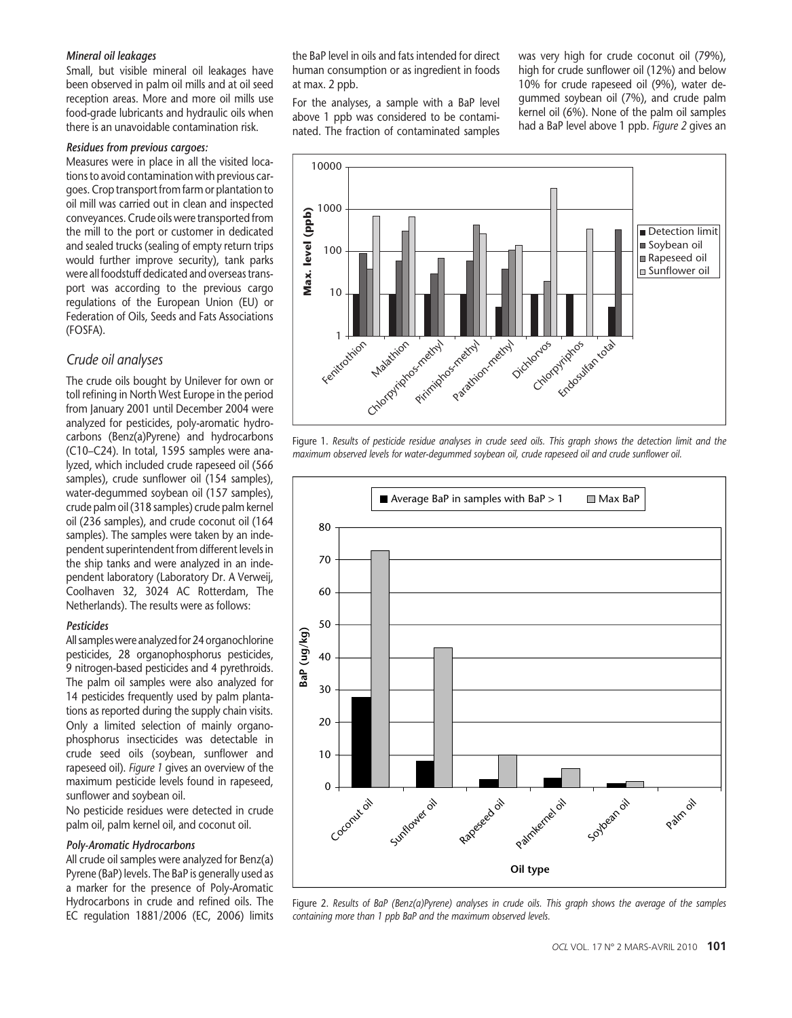#### Mineral oil leakages

Small, but visible mineral oil leakages have been observed in palm oil mills and at oil seed reception areas. More and more oil mills use food-grade lubricants and hydraulic oils when there is an unavoidable contamination risk.

### Residues from previous cargoes:

Measures were in place in all the visited locations to avoid contamination with previous cargoes. Crop transport from farm or plantation to oil mill was carried out in clean and inspected conveyances. Crude oils were transported from the mill to the port or customer in dedicated and sealed trucks (sealing of empty return trips would further improve security), tank parks were all foodstuff dedicated and overseas transport was according to the previous cargo regulations of the European Union (EU) or Federation of Oils, Seeds and Fats Associations (FOSFA).

### Crude oil analyses

The crude oils bought by Unilever for own or toll refining in North West Europe in the period from January 2001 until December 2004 were analyzed for pesticides, poly-aromatic hydrocarbons (Benz(a)Pyrene) and hydrocarbons (C10–C24). In total, 1595 samples were analyzed, which included crude rapeseed oil (566 samples), crude sunflower oil (154 samples), water-degummed soybean oil (157 samples), crude palm oil (318 samples) crude palm kernel oil (236 samples), and crude coconut oil (164 samples). The samples were taken by an independent superintendent from different levels in the ship tanks and were analyzed in an independent laboratory (Laboratory Dr. A Verweij, Coolhaven 32, 3024 AC Rotterdam, The Netherlands). The results were as follows:

### Pesticides

All samples were analyzed for 24 organochlorine pesticides, 28 organophosphorus pesticides, 9 nitrogen-based pesticides and 4 pyrethroids. The palm oil samples were also analyzed for 14 pesticides frequently used by palm plantations as reported during the supply chain visits. Only a limited selection of mainly organophosphorus insecticides was detectable in crude seed oils (soybean, sunflower and rapeseed oil). Figure 1 gives an overview of the maximum pesticide levels found in rapeseed, sunflower and soybean oil.

No pesticide residues were detected in crude palm oil, palm kernel oil, and coconut oil.

#### Poly-Aromatic Hydrocarbons

All crude oil samples were analyzed for Benz(a) Pyrene (BaP) levels. The BaP is generally used as a marker for the presence of Poly-Aromatic Hydrocarbons in crude and refined oils. The EC regulation 1881/2006 (EC, 2006) limits the BaP level in oils and fats intended for direct human consumption or as ingredient in foods at max. 2 ppb.

For the analyses, a sample with a BaP level above 1 ppb was considered to be contaminated. The fraction of contaminated samples was very high for crude coconut oil (79%), high for crude sunflower oil (12%) and below 10% for crude rapeseed oil (9%), water degummed soybean oil (7%), and crude palm kernel oil (6%). None of the palm oil samples had a BaP level above 1 ppb. Figure 2 gives an



Figure 1. Results of pesticide residue analyses in crude seed oils. This graph shows the detection limit and the maximum observed levels for water-degummed soybean oil, crude rapeseed oil and crude sunflower oil.



Figure 2. Results of BaP (Benz(a)Pyrene) analyses in crude oils. This graph shows the average of the samples containing more than 1 ppb BaP and the maximum observed levels.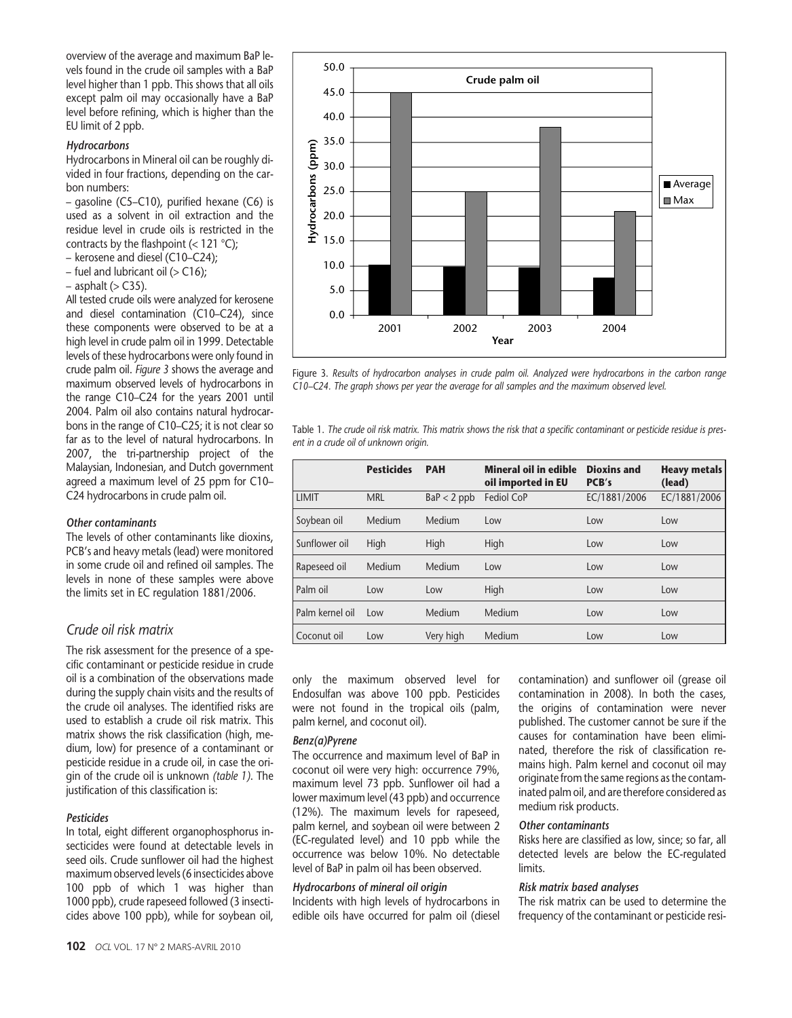overview of the average and maximum BaP levels found in the crude oil samples with a BaP level higher than 1 ppb. This shows that all oils except palm oil may occasionally have a BaP level before refining, which is higher than the EU limit of 2 ppb.

### Hydrocarbons

Hydrocarbons in Mineral oil can be roughly divided in four fractions, depending on the carbon numbers:

– gasoline (C5–C10), purified hexane (C6) is used as a solvent in oil extraction and the residue level in crude oils is restricted in the contracts by the flashpoint  $(< 121 \degree C)$ ;

- kerosene and diesel (C10–C24);
- $-$  fuel and lubricant oil ( $>$  C16);
- $-$  asphalt ( $>$  C35).

All tested crude oils were analyzed for kerosene and diesel contamination (C10–C24), since these components were observed to be at a high level in crude palm oil in 1999. Detectable levels of these hydrocarbons were only found in crude palm oil. Figure 3 shows the average and maximum observed levels of hydrocarbons in the range C10–C24 for the years 2001 until 2004. Palm oil also contains natural hydrocarbons in the range of C10–C25; it is not clear so far as to the level of natural hydrocarbons. In 2007, the tri-partnership project of the Malaysian, Indonesian, and Dutch government agreed a maximum level of 25 ppm for C10– C24 hydrocarbons in crude palm oil.

#### Other contaminants

The levels of other contaminants like dioxins, PCB's and heavy metals (lead) were monitored in some crude oil and refined oil samples. The levels in none of these samples were above the limits set in EC regulation 1881/2006.

### Crude oil risk matrix

The risk assessment for the presence of a specific contaminant or pesticide residue in crude oil is a combination of the observations made during the supply chain visits and the results of the crude oil analyses. The identified risks are used to establish a crude oil risk matrix. This matrix shows the risk classification (high, medium, low) for presence of a contaminant or pesticide residue in a crude oil, in case the origin of the crude oil is unknown (table 1). The justification of this classification is:

### Pesticides

In total, eight different organophosphorus insecticides were found at detectable levels in seed oils. Crude sunflower oil had the highest maximum observed levels (6 insecticides above 100 ppb of which 1 was higher than 1000 ppb), crude rapeseed followed (3 insecticides above 100 ppb), while for soybean oil,



Figure 3. Results of hydrocarbon analyses in crude palm oil. Analyzed were hydrocarbons in the carbon range C10*–*C24. The graph shows per year the average for all samples and the maximum observed level.

Table 1. The crude oil risk matrix. This matrix shows the risk that a specific contaminant or pesticide residue is present in a crude oil of unknown origin.

|                 | <b>Pesticides</b> | <b>PAH</b>    | <b>Mineral oil in edible</b><br>oil imported in EU | <b>Dioxins and</b><br>PCB's | <b>Heavy metals</b><br>(lead) |
|-----------------|-------------------|---------------|----------------------------------------------------|-----------------------------|-------------------------------|
| <b>LIMIT</b>    | <b>MRL</b>        | $BaP < 2$ ppb | Fediol CoP                                         | EC/1881/2006                | EC/1881/2006                  |
| Soybean oil     | Medium            | Medium        | Low                                                | Low                         | Low                           |
| Sunflower oil   | High              | High          | High                                               | Low                         | Low                           |
| Rapeseed oil    | Medium            | Medium        | Low                                                | Low                         | Low                           |
| Palm oil        | Low               | Low           | High                                               | Low                         | Low                           |
| Palm kernel oil | Low               | Medium        | Medium                                             | Low                         | Low                           |
| Coconut oil     | Low               | Very high     | Medium                                             | Low                         | Low                           |

only the maximum observed level for Endosulfan was above 100 ppb. Pesticides were not found in the tropical oils (palm, palm kernel, and coconut oil).

### Benz(a)Pyrene

The occurrence and maximum level of BaP in coconut oil were very high: occurrence 79%, maximum level 73 ppb. Sunflower oil had a lower maximum level (43 ppb) and occurrence (12%). The maximum levels for rapeseed, palm kernel, and soybean oil were between 2 (EC-regulated level) and 10 ppb while the occurrence was below 10%. No detectable level of BaP in palm oil has been observed.

### Hydrocarbons of mineral oil origin

Incidents with high levels of hydrocarbons in edible oils have occurred for palm oil (diesel contamination) and sunflower oil (grease oil contamination in 2008). In both the cases, the origins of contamination were never published. The customer cannot be sure if the causes for contamination have been eliminated, therefore the risk of classification remains high. Palm kernel and coconut oil may originate from the same regions as the contaminated palm oil, and are therefore considered as medium risk products.

### Other contaminants

Risks here are classified as low, since; so far, all detected levels are below the EC-regulated limits.

### Risk matrix based analyses

The risk matrix can be used to determine the frequency of the contaminant or pesticide resi